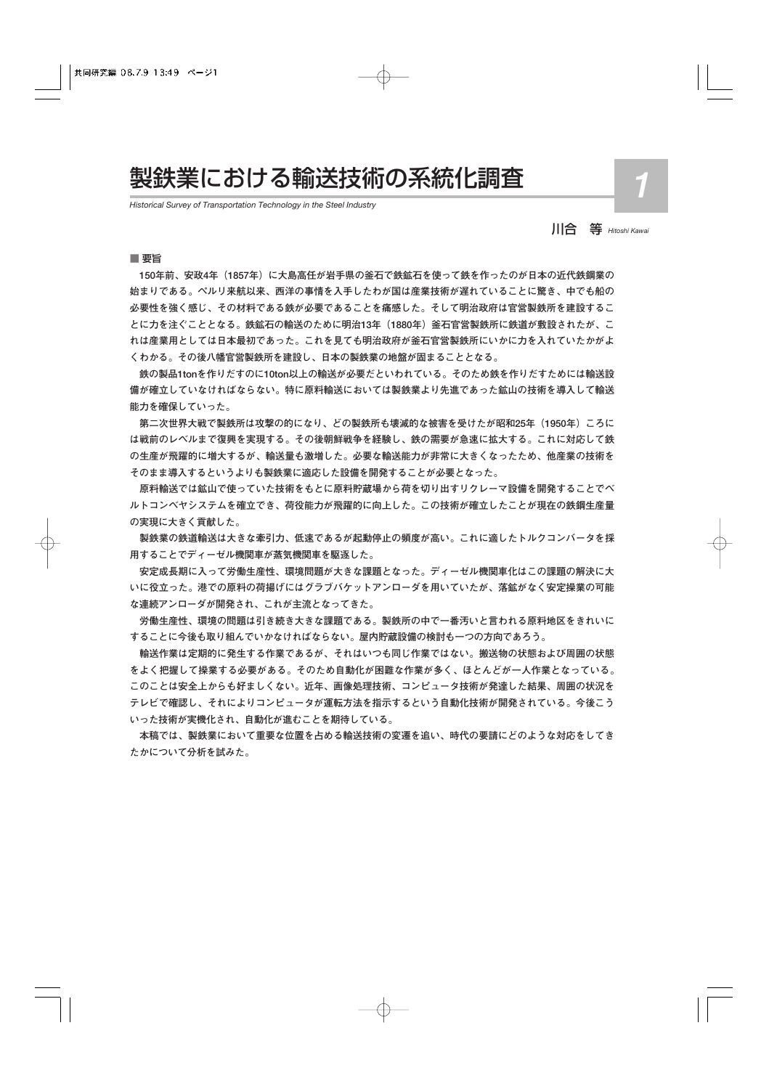# 製鉄業における輸送技術の系統化調査

*Historical Survey of Transportation Technology in the Steel Industry*

川合 等 *Hitoshi Kawai*

■ 要旨

**150年前、安政4年(1857年)に大島高任が岩手県の釜石で鉄鉱石を使って鉄を作ったのが日本の近代鉄鋼業の 始まりである。ペルリ来航以来、西洋の事情を入手したわが国は産業技術が遅れていることに驚き、中でも船の 必要性を強く感じ、その材料である鉄が必要であることを痛感した。そして明治政府は官営製鉄所を建設するこ とに力を注ぐこととなる。鉄鉱石の輸送のために明治13年(1880年)釜石官営製鉄所に鉄道が敷設されたが、こ れは産業用としては日本最初であった。これを見ても明治政府が釜石官営製鉄所にいかに力を入れていたかがよ くわかる。その後八幡官営製鉄所を建設し、日本の製鉄業の地盤が固まることとなる。**

**鉄の製品1tonを作りだすのに10ton以上の輸送が必要だといわれている。そのため鉄を作りだすためには輸送設 備が確立していなければならない。特に原料輸送においては製鉄業より先進であった鉱山の技術を導入して輸送 能力を確保していった。**

**第二次世界大戦で製鉄所は攻撃の的になり、どの製鉄所も壊滅的な被害を受けたが昭和25年(1950年)ころに は戦前のレベルまで復興を実現する。その後朝鮮戦争を経験し、鉄の需要が急速に拡大する。これに対応して鉄 の生産が飛躍的に増大するが、輸送量も激増した。必要な輸送能力が非常に大きくなったため、他産業の技術を そのまま導入するというよりも製鉄業に適応した設備を開発することが必要となった。**

**原料輸送では鉱山で使っていた技術をもとに原料貯蔵場から荷を切り出すリクレーマ設備を開発することでベ ルトコンベヤシステムを確立でき、荷役能力が飛躍的に向上した。この技術が確立したことが現在の鉄鋼生産量 の実現に大きく貢献した。**

**製鉄業の鉄道輸送は大きな牽引力、低速であるが起動停止の頻度が高い。これに適したトルクコンバータを採 用することでディーゼル機関車が蒸気機関車を駆逐した。**

**安定成長期に入って労働生産性、環境問題が大きな課題となった。ディーゼル機関車化はこの課題の解決に大 いに役立った。港での原料の荷揚げにはグラブバケットアンローダを用いていたが、落鉱がなく安定操業の可能 な連続アンローダが開発され、これが主流となってきた。**

**労働生産性、環境の問題は引き続き大きな課題である。製鉄所の中で一番汚いと言われる原料地区をきれいに することに今後も取り組んでいかなければならない。屋内貯蔵設備の検討も一つの方向であろう。**

**輸送作業は定期的に発生する作業であるが、それはいつも同じ作業ではない。搬送物の状態および周囲の状態 をよく把握して操業する必要がある。そのため自動化が困難な作業が多く、ほとんどが一人作業となっている。 このことは安全上からも好ましくない。近年、画像処理技術、コンピュータ技術が発達した結果、周囲の状況を テレビで確認し、それによりコンピュータが運転方法を指示するという自動化技術が開発されている。今後こう いった技術が実機化され、自動化が進むことを期待している。**

**本稿では、製鉄業において重要な位置を占める輸送技術の変遷を追い、時代の要請にどのような対応をしてき たかについて分析を試みた。**

*1*